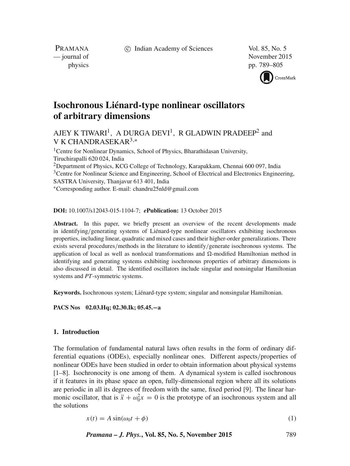c Indian Academy of Sciences Vol. 85, No. 5

PRAMANA<br>
— journal of

November 2015 physics pp. 789–805



# **Isochronous Liénard-type nonlinear oscillators of arbitrary dimensions**

# AJEY K TIWARI<sup>1</sup>, A DURGA DEVI<sup>1</sup>, R GLADWIN PRADEEP<sup>2</sup> and V K CHANDRASEKAR3,<sup>∗</sup>

<sup>1</sup>Centre for Nonlinear Dynamics, School of Physics, Bharathidasan University, Tiruchirapalli 620 024, India <sup>2</sup>Department of Physics, KCG College of Technology, Karapakkam, Chennai 600 097, India <sup>3</sup>Centre for Nonlinear Science and Engineering, School of Electrical and Electronics Engineering, SASTRA University, Thanjavur 613 401, India ∗Corresponding author. E-mail: chandru25nld@gmail.com

**DOI:** 10.1007/s12043-015-1104-7; *e***Publication:** 13 October 2015

Abstract. In this paper, we briefly present an overview of the recent developments made in identifying/generating systems of Liénard-type nonlinear oscillators exhibiting isochronous properties, including linear, quadratic and mixed cases and their higher-order generalizations. There exists several procedures/methods in the literature to identify/generate isochronous systems. The application of local as well as nonlocal transformations and  $\Omega$ -modified Hamiltonian method in identifying and generating systems exhibiting isochronous properties of arbitrary dimensions is also discussed in detail. The identified oscillators include singular and nonsingular Hamiltonian systems and *PT*-symmetric systems.

**Keywords.** Isochronous system; Liénard-type system; singular and nonsingular Hamiltonian.

**PACS Nos 02.03.Hq; 02.30.Ik; 05.45.**−**a**

# **1. Introduction**

The formulation of fundamental natural laws often results in the form of ordinary differential equations (ODEs), especially nonlinear ones. Different aspects/properties of nonlinear ODEs have been studied in order to obtain information about physical systems [1–8]. Isochronocity is one among of them. A dynamical system is called isochronous if it features in its phase space an open, fully-dimensional region where all its solutions are periodic in all its degrees of freedom with the same, fixed period [9]. The linear harmonic oscillator, that is  $\ddot{x} + \omega_0^2 x = 0$  is the prototype of an isochronous system and all the solutions

$$
x(t) = A\sin(\omega_0 t + \phi) \tag{1}
$$

*Pramana – J. Phys.***, Vol. 85, No. 5, November 2015** 789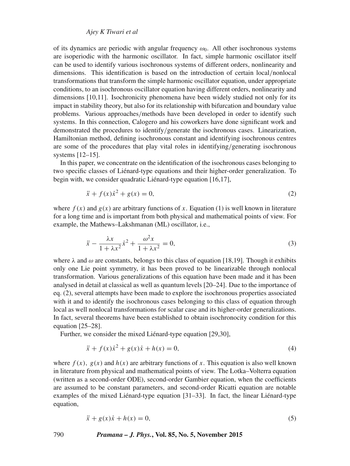# *Ajey K Tiwari et al*

of its dynamics are periodic with angular frequency  $\omega_0$ . All other isochronous systems are isoperiodic with the harmonic oscillator. In fact, simple harmonic oscillator itself can be used to identify various isochronous systems of different orders, nonlinearity and dimensions. This identification is based on the introduction of certain local/nonlocal transformations that transform the simple harmonic oscillator equation, under appropriate conditions, to an isochronous oscillator equation having different orders, nonlinearity and dimensions [10,11]. Isochronicity phenomena have been widely studied not only for its impact in stability theory, but also for its relationship with bifurcation and boundary value problems. Various approaches/methods have been developed in order to identify such systems. In this connection, Calogero and his coworkers have done significant work and demonstrated the procedures to identify/generate the isochronous cases. Linearization, Hamiltonian method, defining isochronous constant and identifying isochronous centres are some of the procedures that play vital roles in identifying/generating isochronous systems [12–15].

In this paper, we concentrate on the identification of the isochronous cases belonging to two specific classes of Liénard-type equations and their higher-order generalization. To begin with, we consider quadratic Liénard-type equation [16,17],

$$
\ddot{x} + f(x)\dot{x}^2 + g(x) = 0,\tag{2}
$$

where  $f(x)$  and  $g(x)$  are arbitrary functions of x. Equation (1) is well known in literature for a long time and is important from both physical and mathematical points of view. For example, the Mathews–Lakshmanan (ML) oscillator, i.e.,

$$
\ddot{x} - \frac{\lambda x}{1 + \lambda x^2} \dot{x}^2 + \frac{\omega^2 x}{1 + \lambda x^2} = 0,\tag{3}
$$

where  $\lambda$  and  $\omega$  are constants, belongs to this class of equation [18,19]. Though it exhibits only one Lie point symmetry, it has been proved to be linearizable through nonlocal transformation. Various generalizations of this equation have been made and it has been analysed in detail at classical as well as quantum levels [20–24]. Due to the importance of eq. (2), several attempts have been made to explore the isochronous properties associated with it and to identify the isochronous cases belonging to this class of equation through local as well nonlocal transformations for scalar case and its higher-order generalizations. In fact, several theorems have been established to obtain isochronocity condition for this equation [25–28].

Further, we consider the mixed Liénard-type equation [29,30],

$$
\ddot{x} + f(x)\dot{x}^2 + g(x)\dot{x} + h(x) = 0,\tag{4}
$$

where  $f(x)$ ,  $g(x)$  and  $h(x)$  are arbitrary functions of x. This equation is also well known in literature from physical and mathematical points of view. The Lotka–Volterra equation (written as a second-order ODE), second-order Gambier equation, when the coefficients are assumed to be constant parameters, and second-order Ricatti equation are notable examples of the mixed Liénard-type equation [31–33]. In fact, the linear Liénard-type equation,

$$
\ddot{x} + g(x)\dot{x} + h(x) = 0,\tag{5}
$$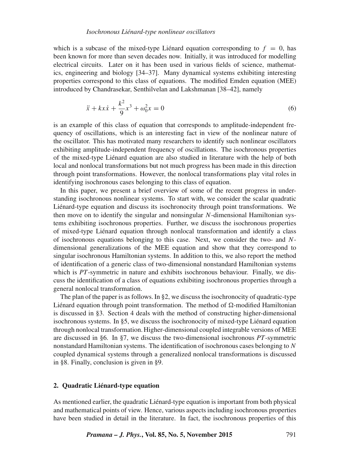#### *Isochronous Liénard-type nonlinear oscillators*

which is a subcase of the mixed-type Liénard equation corresponding to  $f = 0$ , has been known for more than seven decades now. Initially, it was introduced for modelling electrical circuits. Later on it has been used in various fields of science, mathematics, engineering and biology [34–37]. Many dynamical systems exhibiting interesting properties correspond to this class of equations. The modified Emden equation (MEE) introduced by Chandrasekar, Senthilvelan and Lakshmanan [38–42], namely

$$
\ddot{x} + kx\dot{x} + \frac{k^2}{9}x^3 + \omega_0^2 x = 0
$$
\n(6)

is an example of this class of equation that corresponds to amplitude-independent frequency of oscillations, which is an interesting fact in view of the nonlinear nature of the oscillator. This has motivated many researchers to identify such nonlinear oscillators exhibiting amplitude-independent frequency of oscillations. The isochronous properties of the mixed-type Liénard equation are also studied in literature with the help of both local and nonlocal transformations but not much progress has been made in this direction through point transformations. However, the nonlocal transformations play vital roles in identifying isochronous cases belonging to this class of equation.

In this paper, we present a brief overview of some of the recent progress in understanding isochronous nonlinear systems. To start with, we consider the scalar quadratic Liénard-type equation and discuss its isochronocity through point transformations. We then move on to identify the singular and nonsingular  $N$ -dimensional Hamiltonian systems exhibiting isochronous properties. Further, we discuss the isochronous properties of mixed-type Liénard equation through nonlocal transformation and identify a class of isochronous equations belonging to this case. Next, we consider the two- and  $N$ dimensional generalizations of the MEE equation and show that they correspond to singular isochronous Hamiltonian systems. In addition to this, we also report the method of identification of a generic class of two-dimensional nonstandard Hamiltonian systems which is *PT*-symmetric in nature and exhibits isochronous behaviour. Finally, we discuss the identification of a class of equations exhibiting isochronous properties through a general nonlocal transformation.

The plan of the paper is as follows. In §2, we discuss the isochronocity of quadratic-type Liénard equation through point transformation. The method of  $\Omega$ -modified Hamiltonian is discussed in §3. Section 4 deals with the method of constructing higher-dimensional isochronous systems. In §5, we discuss the isochronocity of mixed-type Liénard equation through nonlocal transformation. Higher-dimensional coupled integrable versions of MEE are discussed in §6. In §7, we discuss the two-dimensional isochronous *PT*-symmetric nonstandard Hamiltonian systems. The identification of isochronous cases belonging to  $N$ coupled dynamical systems through a generalized nonlocal transformations is discussed in §8. Finally, conclusion is given in §9.

# **2. Quadratic Liénard-type equation**

As mentioned earlier, the quadratic Liénard-type equation is important from both physical and mathematical points of view. Hence, various aspects including isochronous properties have been studied in detail in the literature. In fact, the isochronous properties of this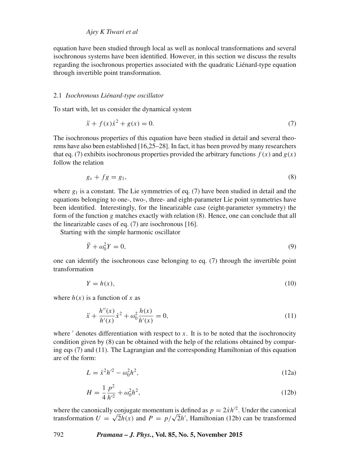equation have been studied through local as well as nonlocal transformations and several isochronous systems have been identified. However, in this section we discuss the results regarding the isochronous properties associated with the quadratic Liénard-type equation through invertible point transformation.

# 2.1 *Isochronous Liénard-type oscillator*

To start with, let us consider the dynamical system

$$
\ddot{x} + f(x)\dot{x}^2 + g(x) = 0.
$$
 (7)

The isochronous properties of this equation have been studied in detail and several theorems have also been established [16,25–28]. In fact, it has been proved by many researchers that eq. (7) exhibits isochronous properties provided the arbitrary functions  $f(x)$  and  $g(x)$ follow the relation

$$
g_x + fg = g_1,\tag{8}
$$

where  $g_1$  is a constant. The Lie symmetries of eq. (7) have been studied in detail and the equations belonging to one-, two-, three- and eight-parameter Lie point symmetries have been identified. Interestingly, for the linearizable case (eight-parameter symmetry) the form of the function g matches exactly with relation (8). Hence, one can conclude that all the linearizable cases of eq. (7) are isochronous [16].

Starting with the simple harmonic oscillator

$$
\ddot{Y} + \omega_0^2 Y = 0,\tag{9}
$$

one can identify the isochronous case belonging to eq. (7) through the invertible point transformation

$$
Y = h(x),\tag{10}
$$

where  $h(x)$  is a function of x as

$$
\ddot{x} + \frac{h''(x)}{h'(x)} \dot{x}^2 + \omega_0^2 \frac{h(x)}{h'(x)} = 0,
$$
\n(11)

where  $\prime$  denotes differentiation with respect to  $x$ . It is to be noted that the isochronocity condition given by (8) can be obtained with the help of the relations obtained by comparing eqs  $(7)$  and  $(11)$ . The Lagrangian and the corresponding Hamiltonian of this equation are of the form:

$$
L = \dot{x}^2 h'^2 - \omega_0^2 h^2,\tag{12a}
$$

$$
H = \frac{1}{4} \frac{p^2}{h'^2} + \omega_0^2 h^2,
$$
\t(12b)

where the canonically conjugate momentum is defined as  $p = 2 \dot{x} h'^2$ . Under the canonical transformation  $U = \sqrt{2h(x)}$  and  $P = p/\sqrt{2h'}$ , Hamiltonian (12b) can be transformed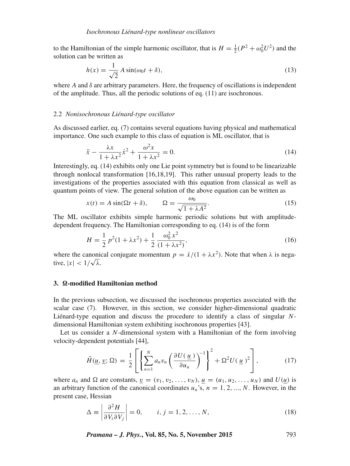to the Hamiltonian of the simple harmonic oscillator, that is  $H = \frac{1}{2}(P^2 + \omega_0^2 U^2)$  and the solution can be written as

$$
h(x) = \frac{1}{\sqrt{2}} A \sin(\omega_0 t + \delta),
$$
\n(13)

where A and  $\delta$  are arbitrary parameters. Here, the frequency of oscillations is independent of the amplitude. Thus, all the periodic solutions of eq. (11) are isochronous.

#### 2.2 *Nonisochronous Liénard-type oscillator*

As discussed earlier, eq. (7) contains several equations having physical and mathematical importance. One such example to this class of equation is ML oscillator, that is

$$
\ddot{x} - \frac{\lambda x}{1 + \lambda x^2} \dot{x}^2 + \frac{\omega^2 x}{1 + \lambda x^2} = 0.
$$
 (14)

Interestingly, eq. (14) exhibits only one Lie point symmetry but is found to be linearizable through nonlocal transformation [16,18,19]. This rather unusual property leads to the investigations of the properties associated with this equation from classical as well as quantum points of view. The general solution of the above equation can be written as

$$
x(t) = A \sin(\Omega t + \delta), \qquad \Omega = \frac{\omega_0}{\sqrt{1 + \lambda A^2}}.
$$
\n(15)

The ML oscillator exhibits simple harmonic periodic solutions but with amplitudedependent frequency. The Hamiltonian corresponding to eq. (14) is of the form

$$
H = \frac{1}{2}p^2(1 + \lambda x^2) + \frac{1}{2} \frac{\omega_0^2 x^2}{(1 + \lambda x^2)},
$$
\n(16)

where the canonical conjugate momentum  $p = \dot{x}/(1 + \lambda x^2)$ . Note that when  $\lambda$  is negative,  $|x| < 1/\sqrt{\lambda}$ .

# 3.  $\Omega$ -modified Hamiltonian method

In the previous subsection, we discussed the isochronous properties associated with the scalar case (7). However, in this section, we consider higher-dimensional quadratic Liénard-type equation and discuss the procedure to identify a class of singular Ndimensional Hamiltonian system exhibiting isochronous properties [43].

Let us consider a N-dimensional system with a Hamiltonian of the form involving velocity-dependent potentials [44],

$$
\tilde{H}(\underline{u}, \underline{v}; \Omega) = \frac{1}{2} \left[ \left\{ \sum_{n=1}^{N} a_n v_n \left( \frac{\partial U(\underline{u})}{\partial u_n} \right)^{-1} \right\}^2 + \Omega^2 U(\underline{u})^2 \right],\tag{17}
$$

where  $a_n$  and  $\Omega$  are constants,  $\underline{v} = (v_1, v_2, \dots, v_N)$ ,  $\underline{u} = (u_1, u_2, \dots, u_N)$  and  $U(\underline{u})$  is an arbitrary function of the canonical coordinates  $u_n$ 's,  $n = 1, 2, ..., N$ . However, in the present case, Hessian

$$
\Delta \equiv \left| \frac{\partial^2 H}{\partial V_i \partial V_j} \right| = 0, \qquad i, j = 1, 2, ..., N,
$$
\n(18)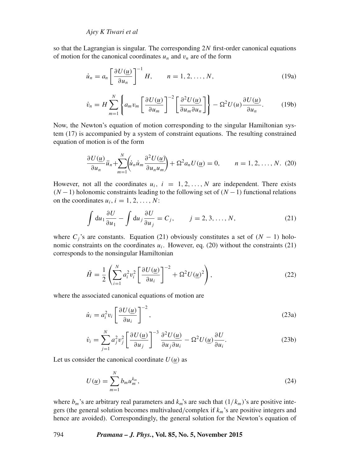so that the Lagrangian is singular. The corresponding 2N first-order canonical equations of motion for the canonical coordinates  $u_n$  and  $v_n$  are of the form

$$
\dot{u}_n = a_n \left[ \frac{\partial U(\underline{u})}{\partial u_n} \right]^{-1} H, \qquad n = 1, 2, \dots, N,
$$
\n(19a)

$$
\dot{v}_n = H \sum_{m=1}^N \left\{ a_m v_m \left[ \frac{\partial U(\underline{u})}{\partial u_m} \right]^{-2} \left[ \frac{\partial^2 U(\underline{u})}{\partial u_m \partial u_n} \right] \right\} - \Omega^2 U(u) \frac{\partial U(\underline{u})}{\partial u_n}.
$$
 (19b)

Now, the Newton's equation of motion corresponding to the singular Hamiltonian system (17) is accompanied by a system of constraint equations. The resulting constrained equation of motion is of the form

$$
\frac{\partial U(u)}{\partial u_n}\ddot{u}_n + \sum_{m=1}^N \left(\dot{u}_n \dot{u}_m \frac{\partial^2 U(u)}{\partial u_n u_m}\right) + \Omega^2 a_n U(u) = 0, \qquad n = 1, 2, \dots, N. \tag{20}
$$

However, not all the coordinates  $u_i$ ,  $i = 1, 2, ..., N$  are independent. There exists  $(N-1)$  holonomic constraints leading to the following set of  $(N-1)$  functional relations on the coordinates  $u_i$ ,  $i = 1, 2, ..., N$ :

$$
\int du_1 \frac{\partial U}{\partial u_1} - \int du_j \frac{\partial U}{\partial u_j} = C_j, \qquad j = 2, 3, ..., N,
$$
\n(21)

where  $C_i$ 's are constants. Equation (21) obviously constitutes a set of  $(N - 1)$  holonomic constraints on the coordinates  $u_i$ . However, eq. (20) without the constraints (21) corresponds to the nonsingular Hamiltonian

$$
\tilde{H} = \frac{1}{2} \left( \sum_{i=1}^{N} a_i^2 v_i^2 \left[ \frac{\partial U(\underline{u})}{\partial u_i} \right]^{-2} + \Omega^2 U(\underline{u})^2 \right),\tag{22}
$$

where the associated canonical equations of motion are

$$
\dot{u}_i = a_i^2 v_i \left[ \frac{\partial U(\underline{u})}{\partial u_i} \right]^{-2},\tag{23a}
$$

$$
\dot{v}_i = \sum_{j=1}^N a_j^2 v_j^2 \left[ \frac{\partial U(u)}{\partial u_j} \right]^{-3} \frac{\partial^2 U(u)}{\partial u_j \partial u_i} - \Omega^2 U(u) \frac{\partial U}{\partial u_i}.
$$
\n(23b)

Let us consider the canonical coordinate  $U(u)$  as

$$
U(\underline{u}) = \sum_{m=1}^{N} b_m u_m^{k_m},\tag{24}
$$

where  $b_m$ 's are arbitrary real parameters and  $k_m$ 's are such that  $(1/k_m)$ 's are positive integers (the general solution becomes multivalued/complex if  $k_m$ 's are positive integers and hence are avoided). Correspondingly, the general solution for the Newton's equation of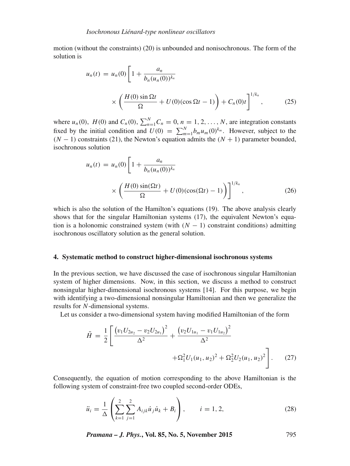motion (without the constraints) (20) is unbounded and nonisochronous. The form of the solution is

$$
u_n(t) = u_n(0) \left[ 1 + \frac{a_n}{b_n(u_n(0))^{k_n}} \times \left( \frac{H(0) \sin \Omega t}{\Omega} + U(0) (\cos \Omega t - 1) \right) + C_n(0) t \right]^{1/k_n},
$$
 (25)

where  $u_n(0)$ ,  $H(0)$  and  $C_n(0)$ ,  $\sum_{n=1}^{N} C_n = 0$ ,  $n = 1, 2, ..., N$ , are integration constants fixed by the initial condition and  $U(0) = \sum_{m=1}^{N} b_m u_m(0)^{k_m}$ . However, subject to the  $(N - 1)$  constraints (21), the Newton's equation admits the  $(N + 1)$  parameter bounded, isochronous solution

$$
u_n(t) = u_n(0) \left[ 1 + \frac{a_n}{b_n(u_n(0))^{k_n}} \times \left( \frac{H(0) \sin(\Omega t)}{\Omega} + U(0) (\cos(\Omega t) - 1) \right) \right]^{1/k_n},
$$
 (26)

which is also the solution of the Hamilton's equations (19). The above analysis clearly shows that for the singular Hamiltonian systems (17), the equivalent Newton's equation is a holonomic constrained system (with  $(N - 1)$  constraint conditions) admitting isochronous oscillatory solution as the general solution.

#### **4. Systematic method to construct higher-dimensional isochronous systems**

In the previous section, we have discussed the case of isochronous singular Hamiltonian system of higher dimensions. Now, in this section, we discuss a method to construct nonsingular higher-dimensional isochronous systems [14]. For this purpose, we begin with identifying a two-dimensional nonsingular Hamiltonian and then we generalize the results for N-dimensional systems.

Let us consider a two-dimensional system having modified Hamiltonian of the form

$$
\tilde{H} = \frac{1}{2} \left[ \frac{\left( v_1 U_{2u_2} - v_2 U_{2u_1} \right)^2}{\Delta^2} + \frac{\left( v_2 U_{1u_1} - v_1 U_{1u_2} \right)^2}{\Delta^2} + \Omega_1^2 U_1(u_1, u_2)^2 + \Omega_2^2 U_2(u_1, u_2)^2 \right].
$$
\n(27)

Consequently, the equation of motion corresponding to the above Hamiltonian is the following system of constraint-free two coupled second-order ODEs,

$$
\ddot{u}_i = \frac{1}{\Delta} \left( \sum_{k=1}^2 \sum_{j=1}^2 A_{ijk} \dot{u}_j \dot{u}_k + B_i \right), \qquad i = 1, 2,
$$
\n(28)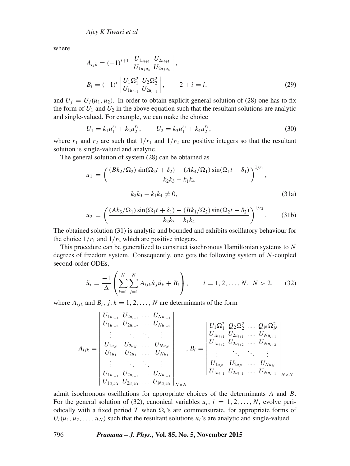where

$$
A_{ijk} = (-1)^{i+1} \begin{vmatrix} U_{1u_{i+1}} & U_{2u_{i+1}} \\ U_{1u_ju_k} & U_{2u_ju_k} \end{vmatrix},
$$
  
\n
$$
B_i = (-1)^i \begin{vmatrix} U_1 \Omega_1^2 & U_2 \Omega_2^2 \\ U_{1u_{i+1}} & U_{2u_{i+1}} \end{vmatrix}, \qquad 2 + i = i,
$$
 (29)

and  $U_i = U_i(u_1, u_2)$ . In order to obtain explicit general solution of (28) one has to fix the form of  $U_1$  and  $U_2$  in the above equation such that the resultant solutions are analytic and single-valued. For example, we can make the choice

$$
U_1 = k_1 u_1^{r_1} + k_2 u_2^{r_2}, \qquad U_2 = k_3 u_1^{r_1} + k_4 u_2^{r_2}, \tag{30}
$$

where  $r_1$  and  $r_2$  are such that  $1/r_1$  and  $1/r_2$  are positive integers so that the resultant solution is single-valued and analytic.

The general solution of system (28) can be obtained as

$$
u_1 = \left(\frac{(Bk_2/\Omega_2)\sin(\Omega_2 t + \delta_2) - (Ak_4/\Omega_1)\sin(\Omega_1 t + \delta_1)}{k_2k_3 - k_1k_4}\right)^{1/r_1},
$$
  

$$
k_2k_3 - k_1k_4 \neq 0,
$$
 (31a)

$$
u_2 = \left(\frac{(Ak_3/\Omega_1)\sin(\Omega_1 t + \delta_1) - (Bk_1/\Omega_2)\sin(\Omega_2 t + \delta_2)}{k_2k_3 - k_1k_4}\right)^{1/r_2}.
$$
 (31b)

The obtained solution (31) is analytic and bounded and exhibits oscillatory behaviour for the choice  $1/r_1$  and  $1/r_2$  which are positive integers.

This procedure can be generalized to construct isochronous Hamiltonian systems to N degrees of freedom system. Consequently, one gets the following system of N-coupled second-order ODEs,

$$
\ddot{u}_i = \frac{-1}{\Delta} \left( \sum_{k=1}^N \sum_{j=1}^N A_{ijk} \dot{u}_j \dot{u}_k + B_i \right), \qquad i = 1, 2, \dots, N, \ N > 2, \tag{32}
$$

where  $A_{ijk}$  and  $B_i$ ,  $j, k = 1, 2, ..., N$  are determinants of the form

$$
A_{ijk} = \begin{vmatrix} U_{1u_{i+1}} & U_{2u_{i+1}} & \cdots & U_{Nu_{i+1}} \\ U_{1u_{i+2}} & U_{2u_{i+2}} & \cdots & U_{Nu_{i+2}} \\ \vdots & \vdots & \ddots & \vdots \\ U_{1u_N} & U_{2u_N} & \cdots & U_{Nu_N} \\ U_{1u_1} & U_{2u_1} & \cdots & U_{Nu_1} \\ \vdots & \vdots & \ddots & \vdots \\ U_{1u_{i-1}} & U_{2u_{i-1}} & \cdots & U_{Nu_{i-1}} \\ \vdots & \vdots & \ddots & \vdots \\ U_{1u_{i-1}} & U_{2u_{i-1}} & \cdots & U_{Nu_{i-1}} \\ U_{1u_{i+1}} & U_{2u_{i+1}} & \cdots & U_{Nu_{i-1}} \\ \end{vmatrix}, B_i = \begin{vmatrix} U_1 \Omega_1^2 & Q_2 \Omega_2^2 & \cdots & Q_N \Omega_N^2 \\ U_{1u_{i+1}} & U_{2u_{i+1}} & \cdots & U_{Nu_{i+1}} \\ U_{1u_{i+2}} & U_{2u_{i+2}} & \cdots & U_{Nu_{i+2}} \\ \vdots & \vdots & \ddots & \ddots & \vdots \\ U_{1u_N} & U_{2u_N} & \cdots & U_{Nu_N} \\ U_{1u_{i-1}} & U_{2u_{i-1}} & \cdots & U_{Nu_{i-1}} \\ \end{vmatrix}_{N \times N}
$$

admit isochronous oscillations for appropriate choices of the determinants A and B. For the general solution of (32), canonical variables  $u_i$ ,  $i = 1, 2, \ldots, N$ , evolve periodically with a fixed period T when  $\Omega_i$ 's are commensurate, for appropriate forms of  $U_i(u_1, u_2, \ldots, u_N)$  such that the resultant solutions  $u_i$ 's are analytic and single-valued.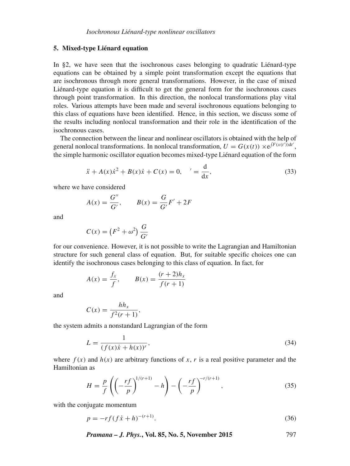#### **5. Mixed-type Liénard equation**

In §2, we have seen that the isochronous cases belonging to quadratic Liénard-type equations can be obtained by a simple point transformation except the equations that are isochronous through more general transformations. However, in the case of mixed Liénard-type equation it is difficult to get the general form for the isochronous cases through point transformation. In this direction, the nonlocal transformations play vital roles. Various attempts have been made and several isochronous equations belonging to this class of equations have been identified. Hence, in this section, we discuss some of the results including nonlocal transformation and their role in the identification of the isochronous cases.

The connection between the linear and nonlinear oscillators is obtained with the help of general nonlocal transformations. In nonlocal transformation,  $U = G(x(t)) \times e^{\int F(x(t'))dt'}$ , the simple harmonic oscillator equation becomes mixed-type Liénard equation of the form

$$
\ddot{x} + A(x)\dot{x}^{2} + B(x)\dot{x} + C(x) = 0, \quad' = \frac{d}{dx},
$$
\n(33)

where we have considered

$$
A(x) = \frac{G''}{G'}, \qquad B(x) = \frac{G}{G'}F' + 2F
$$

and

$$
C(x) = (F^2 + \omega^2) \frac{G}{G'}
$$

for our convenience. However, it is not possible to write the Lagrangian and Hamiltonian structure for such general class of equation. But, for suitable specific choices one can identify the isochronous cases belonging to this class of equation. In fact, for

$$
A(x) = \frac{f_x}{f}
$$
,  $B(x) = \frac{(r+2)h_x}{f(r+1)}$ 

and

$$
C(x) = \frac{hh_x}{f^2(r+1)},
$$

the system admits a nonstandard Lagrangian of the form

$$
L = \frac{1}{(f(x)\dot{x} + h(x))^{r}},
$$
\n(34)

where  $f(x)$  and  $h(x)$  are arbitrary functions of x, r is a real positive parameter and the Hamiltonian as

$$
H = \frac{p}{f} \left( \left( -\frac{rf}{p} \right)^{1/(r+1)} - h \right) - \left( -\frac{rf}{p} \right)^{-r/(r+1)},\tag{35}
$$

with the conjugate momentum

$$
p = -rf(f\dot{x} + h)^{-(r+1)}.
$$
\n(36)

*Pramana – J. Phys.***, Vol. 85, No. 5, November 2015** 797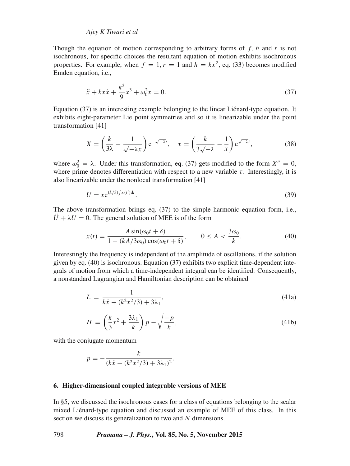# *Ajey K Tiwari et al*

Though the equation of motion corresponding to arbitrary forms of f, h and r is not isochronous, for specific choices the resultant equation of motion exhibits isochronous properties. For example, when  $f = 1, r = 1$  and  $h = kx^2$ , eq. (33) becomes modified Emden equation, i.e.,

$$
\ddot{x} + kx\dot{x} + \frac{k^2}{9}x^3 + \omega_0^2 x = 0.
$$
 (37)

Equation (37) is an interesting example belonging to the linear Liénard-type equation. It exhibits eight-parameter Lie point symmetries and so it is linearizable under the point transformation [41]

$$
X = \left(\frac{k}{3\lambda} - \frac{1}{\sqrt{-\lambda}x}\right) e^{-\sqrt{-\lambda}t}, \quad \tau = \left(\frac{k}{3\sqrt{-\lambda}} - \frac{1}{x}\right) e^{\sqrt{-\lambda}t},\tag{38}
$$

where  $\omega_0^2 = \lambda$ . Under this transformation, eq. (37) gets modified to the form  $X'' = 0$ , where prime denotes differentiation with respect to a new variable  $\tau$ . Interestingly, it is also linearizable under the nonlocal transformation [41]

$$
U = x e^{(k/3)\int x(t')dt}.
$$
\n(39)

The above transformation brings eq. (37) to the simple harmonic equation form, i.e.,  $\hat{U} + \lambda U = 0$ . The general solution of MEE is of the form

$$
x(t) = \frac{A \sin(\omega_0 t + \delta)}{1 - (kA/3\omega_0)\cos(\omega_0 t + \delta)}, \qquad 0 \le A < \frac{3\omega_0}{k}.\tag{40}
$$

Interestingly the frequency is independent of the amplitude of oscillations, if the solution given by eq. (40) is isochronous. Equation (37) exhibits two explicit time-dependent integrals of motion from which a time-independent integral can be identified. Consequently, a nonstandard Lagrangian and Hamiltonian description can be obtained

$$
L = \frac{1}{k\dot{x} + (k^2x^2/3) + 3\lambda_1},\tag{41a}
$$

$$
H = \left(\frac{k}{3}x^2 + \frac{3\lambda_1}{k}\right)p - \sqrt{\frac{-p}{k}},\tag{41b}
$$

with the conjugate momentum

$$
p = -\frac{k}{(k\dot{x} + (k^2x^2/3) + 3\lambda_1)^2}.
$$

#### **6. Higher-dimensional coupled integrable versions of MEE**

In §5, we discussed the isochronous cases for a class of equations belonging to the scalar mixed Liénard-type equation and discussed an example of MEE of this class. In this section we discuss its generalization to two and N dimensions.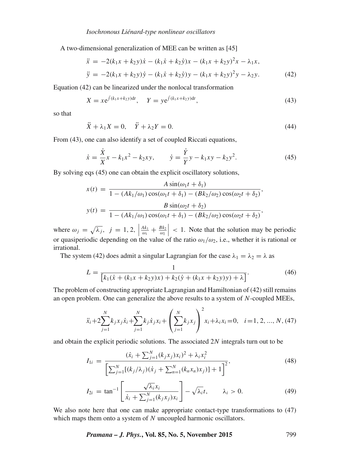A two-dimensional generalization of MEE can be written as [45]

$$
\ddot{x} = -2(k_1x + k_2y)\dot{x} - (k_1\dot{x} + k_2\dot{y})x - (k_1x + k_2y)^2x - \lambda_1x,
$$
  
\n
$$
\ddot{y} = -2(k_1x + k_2y)\dot{y} - (k_1\dot{x} + k_2\dot{y})y - (k_1x + k_2y)^2y - \lambda_2y.
$$
\n(42)

Equation (42) can be linearized under the nonlocal transformation

$$
X = x e^{\int (k_1 x + k_2 y) dt}, \quad Y = y e^{\int (k_1 x + k_2 y) dt}, \tag{43}
$$

so that

$$
\ddot{X} + \lambda_1 X = 0, \quad \ddot{Y} + \lambda_2 Y = 0. \tag{44}
$$

From (43), one can also identify a set of coupled Riccati equations,

$$
\dot{x} = \frac{\dot{X}}{X}x - k_1x^2 - k_2xy, \qquad \dot{y} = \frac{\dot{Y}}{Y}y - k_1xy - k_2y^2.
$$
 (45)

By solving eqs (45) one can obtain the explicit oscillatory solutions,

$$
x(t) = \frac{A \sin(\omega_1 t + \delta_1)}{1 - (Ak_1/\omega_1)\cos(\omega_1 t + \delta_1) - (Bk_2/\omega_2)\cos(\omega_2 t + \delta_2)},
$$
  

$$
y(t) = \frac{B \sin(\omega_2 t + \delta_2)}{1 - (Ak_1/\omega_1)\cos(\omega_1 t + \delta_1) - (Bk_2/\omega_2)\cos(\omega_2 t + \delta_2)},
$$

where  $\omega_j = \sqrt{\lambda_j}$ ,  $j = 1, 2$ ,  $\left| \frac{Ak_1}{\omega_1} + \frac{Bk_2}{\omega_2} \right|$  < 1. Note that the solution may be periodic or quasiperiodic depending on the value of the ratio  $\omega_1/\omega_2$ , i.e., whether it is rational or irrational.

The system (42) does admit a singular Lagrangian for the case  $\lambda_1 = \lambda_2 = \lambda$  as

$$
L = \frac{1}{\left[k_1(\dot{x} + (k_1x + k_2y)x) + k_2(\dot{y} + (k_1x + k_2y)y) + \lambda\right]}.
$$
\n(46)

The problem of constructing appropriate Lagrangian and Hamiltonian of (42) still remains an open problem. One can generalize the above results to a system of N-coupled MEEs,

$$
\ddot{x}_i + 2\sum_{j=1}^N k_j x_j \dot{x}_i + \sum_{j=1}^N k_j \dot{x}_j x_i + \left(\sum_{j=1}^N k_j x_j\right)^2 x_i + \lambda_i x_i = 0, \quad i = 1, 2, ..., N, (47)
$$

and obtain the explicit periodic solutions. The associated 2N integrals turn out to be

$$
I_{1i} = \frac{(\dot{x}_i + \sum_{j=1}^{N} (k_j x_j) x_i)^2 + \lambda_i x_i^2}{\left[\sum_{j=1}^{N} [(k_j/\lambda_j)(\dot{x}_j + \sum_{n=1}^{N} (k_n x_n) x_j)] + 1\right]^2},\tag{48}
$$

$$
I_{2i} = \tan^{-1} \left[ \frac{\sqrt{\lambda_i} x_i}{\dot{x}_i + \sum_{j=1}^N (k_j x_j) x_i} \right] - \sqrt{\lambda_i} t, \qquad \lambda_i > 0. \tag{49}
$$

We also note here that one can make appropriate contact-type transformations to (47) which maps them onto a system of N uncoupled harmonic oscillators.

*Pramana – J. Phys.***, Vol. 85, No. 5, November 2015** 799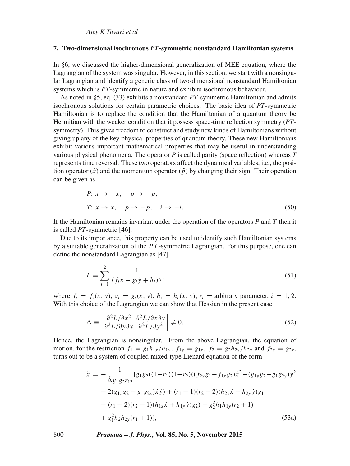*Ajey K Tiwari et al*

#### **7. Two-dimensional isochronous** *PT***-symmetric nonstandard Hamiltonian systems**

In §6, we discussed the higher-dimensional generalization of MEE equation, where the Lagrangian of the system was singular. However, in this section, we start with a nonsingular Lagrangian and identify a generic class of two-dimensional nonstandard Hamiltonian systems which is *PT*-symmetric in nature and exhibits isochronous behaviour.

As noted in §5, eq. (33) exhibits a nonstandard *PT*-symmetric Hamiltonian and admits isochronous solutions for certain parametric choices. The basic idea of *PT*-symmetric Hamiltonian is to replace the condition that the Hamiltonian of a quantum theory be Hermitian with the weaker condition that it possess space-time reflection symmetry (*PT*symmetry). This gives freedom to construct and study new kinds of Hamiltonians without giving up any of the key physical properties of quantum theory. These new Hamiltonians exhibit various important mathematical properties that may be useful in understanding various physical phenomena. The operator *P* is called parity (space reflection) whereas *T* represents time reversal. These two operators affect the dynamical variables, i.e., the position operator  $(\hat{x})$  and the momentum operator  $(\hat{p})$  by changing their sign. Their operation can be given as

P: 
$$
x \to -x
$$
,  $p \to -p$ ,  
\nT:  $x \to x$ ,  $p \to -p$ ,  $i \to -i$ . (50)

If the Hamiltonian remains invariant under the operation of the operators *P* and *T* then it is called *PT*-symmetric [46].

Due to its importance, this property can be used to identify such Hamiltonian systems by a suitable generalization of the  $PT$ -symmetric Lagrangian. For this purpose, one can define the nonstandard Lagrangian as [47]

$$
L = \sum_{i=1}^{2} \frac{1}{(f_i \dot{x} + g_i \dot{y} + h_i)^{r_i}},
$$
\n(51)

where  $f_i = f_i(x, y), g_i = g_i(x, y), h_i = h_i(x, y), r_i =$  arbitrary parameter,  $i = 1, 2$ . With this choice of the Lagrangian we can show that Hessian in the present case

$$
\Delta \equiv \left| \frac{\partial^2 L / \partial x^2}{\partial^2 L / \partial y \partial x} \frac{\partial^2 L / \partial x \partial y}{\partial^2 L / \partial y^2} \right| \neq 0. \tag{52}
$$

Hence, the Lagrangian is nonsingular. From the above Lagrangian, the equation of motion, for the restriction  $f_1 = g_1 h_{1x}/h_{1y}$ ,  $f_{1y} = g_{1x}$ ,  $f_2 = g_2 h_{2x}/h_{2y}$  and  $f_{2y} = g_{2x}$ , turns out to be a system of coupled mixed-type Liénard equation of the form

$$
\ddot{x} = -\frac{1}{\hat{\Delta}g_1g_2r_{12}}[g_1g_2((1+r_1)(1+r_2)((f_{2x}g_1 - f_{1x}g_2)\dot{x}^2 - (g_{1y}g_2 - g_1g_{2y})\dot{y}^2 - 2(g_{1x}g_2 - g_1g_{2x})\dot{x}\dot{y}) + (r_1 + 1)(r_2 + 2)(h_{2x}\dot{x} + h_{2y}\dot{y})g_1 - (r_1 + 2)(r_2 + 1)(h_{1x}\dot{x} + h_{1y}\dot{y})g_2) - g_2^2h_1h_{1y}(r_2 + 1) + g_1^2h_2h_{2y}(r_1 + 1)],
$$
\n(53a)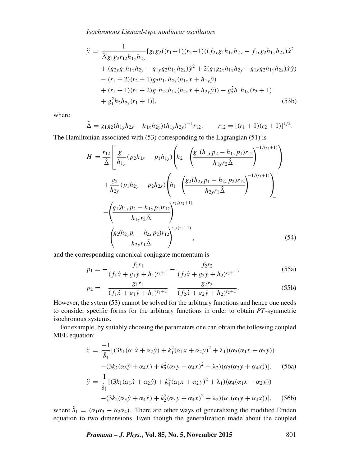*Isochronous Liénard-type nonlinear oscillators*

$$
\ddot{y} = \frac{1}{\hat{\Delta}g_1g_2r_{12}h_{1y}h_{2y}} [g_1g_2((r_1+1)(r_2+1)((f_{2x}g_1h_{1x}h_{2y} - f_{1x}g_2h_{1y}h_{2x})\dot{x}^2
$$
  
+  $(g_{2y}g_1h_{1x}h_{2y} - g_{1y}g_2h_{1y}h_{2x})\dot{y}^2 + 2(g_1g_{2x}h_{1x}h_{2y} - g_{1x}g_2h_{1y}h_{2x})\dot{x}\dot{y})$   
-  $(r_1+2)(r_2+1)g_2h_{1y}h_{2x}(h_{1x}\dot{x} + h_{1y}\dot{y})$   
+  $(r_1+1)(r_2+2)g_1h_{2y}h_{1x}(h_{2x}\dot{x} + h_{2y}\dot{y})) - g_2^2h_1h_{1y}(r_2+1)$   
+  $g_1^2h_2h_{2y}(r_1+1)],$  (53b)

where

$$
\hat{\Delta} = g_1 g_2 (h_{1y} h_{2x} - h_{1x} h_{2y}) (h_{1y} h_{2y})^{-1} r_{12}, \qquad r_{12} = [(r_1 + 1)(r_2 + 1)]^{1/2}.
$$

The Hamiltonian associated with (53) corresponding to the Lagrangian (51) is

$$
H = \frac{r_{12}}{\hat{\Delta}} \left[ \frac{g_1}{h_{1y}} (p_2 h_{1x} - p_1 h_{1y}) \left( h_2 - \left( \frac{g_1 (h_{1x} p_2 - h_{1y} p_1) r_{12}}{h_{1y} r_2 \hat{\Delta}} \right)^{-1/(r_2 + 1)} \right) + \frac{g_2}{h_{2y}} (p_1 h_{2y} - p_2 h_{2x}) \left( h_1 - \left( \frac{g_2 (h_{2y} p_1 - h_{2x} p_2) r_{12}}{h_{2y} r_1 \hat{\Delta}} \right)^{-1/(r_1 + 1)} \right) - \left( \frac{g_1 (h_{1x} p_2 - h_{1y} p_1) r_{12}}{h_{1y} r_2 \hat{\Delta}} \right)^{r_2/(r_2 + 1)} - \left( \frac{g_2 (h_{2y} p_1 - h_{2x} p_2) r_{12}}{h_{2y} r_1 \hat{\Delta}} \right)^{r_1/(r_1 + 1)},
$$
\n(54)

and the corresponding canonical conjugate momentum is

$$
p_1 = -\frac{f_1 r_1}{(f_1 \dot{x} + g_1 \dot{y} + h_1)^{r_1 + 1}} - \frac{f_2 r_2}{(f_2 \dot{x} + g_2 \dot{y} + h_2)^{r_2 + 1}},
$$
(55a)

$$
p_2 = -\frac{g_1 r_1}{(f_1 \dot{x} + g_1 \dot{y} + h_1)^{r_1 + 1}} - \frac{g_2 r_2}{(f_2 \dot{x} + g_2 \dot{y} + h_2)^{r_2 + 1}}.
$$
(55b)

However, the sytem (53) cannot be solved for the arbitrary functions and hence one needs to consider specific forms for the arbitrary functions in order to obtain *PT*-symmetric isochronous systems.

For example, by suitably choosing the parameters one can obtain the following coupled MEE equation:

$$
\ddot{x} = \frac{-1}{\hat{\delta}_1} [(3k_1(\alpha_1 \dot{x} + \alpha_2 \dot{y}) + k_1^2(\alpha_1 x + \alpha_2 y)^2 + \lambda_1)(\alpha_3(\alpha_1 x + \alpha_2 y))
$$
  
\n
$$
-(3k_2(\alpha_3 \dot{y} + \alpha_4 \dot{x}) + k_2^2(\alpha_3 y + \alpha_4 x)^2 + \lambda_2)(\alpha_2(\alpha_3 y + \alpha_4 x))],
$$
(56a)  
\n
$$
\ddot{y} = \frac{1}{\hat{\delta}_1} [(3k_1(\alpha_1 \dot{x} + \alpha_2 \dot{y}) + k_1^2(\alpha_1 x + \alpha_2 y)^2 + \lambda_1)(\alpha_4(\alpha_1 x + \alpha_2 y))
$$
  
\n
$$
-(3k_2(\alpha_3 \dot{y} + \alpha_4 \dot{x}) + k_2^2(\alpha_3 y + \alpha_4 x)^2 + \lambda_2)(\alpha_1(\alpha_3 y + \alpha_4 x))],
$$
(56b)

where  $\delta_1 = (\alpha_1 \alpha_3 - \alpha_2 \alpha_4)$ . There are other ways of generalizing the modified Emden equation to two dimensions. Even though the generalization made about the coupled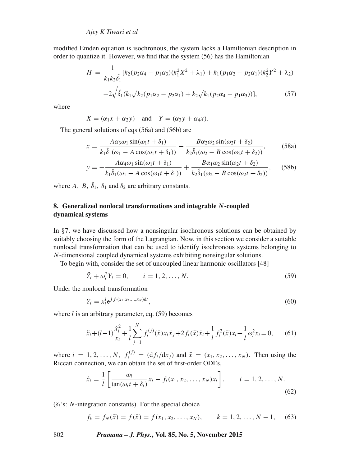modified Emden equation is isochronous, the system lacks a Hamiltonian description in order to quantize it. However, we find that the system (56) has the Hamiltonian

$$
H = \frac{1}{k_1 k_2 \hat{\delta}_1} [k_2 (p_2 \alpha_4 - p_1 \alpha_3) (k_1^2 X^2 + \lambda_1) + k_1 (p_1 \alpha_2 - p_2 \alpha_1) (k_2^2 Y^2 + \lambda_2)
$$
  

$$
-2 \sqrt{\hat{\delta}_1} (k_1 \sqrt{k_2 (p_1 \alpha_2 - p_2 \alpha_1)} + k_2 \sqrt{k_1 (p_2 \alpha_4 - p_1 \alpha_3)})],
$$
 (57)

where

$$
X = (\alpha_1 x + \alpha_2 y) \quad \text{and} \quad Y = (\alpha_3 y + \alpha_4 x).
$$

The general solutions of eqs (56a) and (56b) are

$$
x = \frac{A\alpha_3\omega_1 \sin(\omega_1 t + \delta_1)}{k_1\hat{\delta}_1(\omega_1 - A\cos(\omega_1 t + \delta_1))} - \frac{B\alpha_2\omega_2 \sin(\omega_2 t + \delta_2)}{k_2\hat{\delta}_1(\omega_2 - B\cos(\omega_2 t + \delta_2))},
$$
(58a)

$$
y = -\frac{A\alpha_4\omega_1\sin(\omega_1 t + \delta_1)}{k_1\hat{\delta}_1(\omega_1 - A\cos(\omega_1 t + \delta_1))} + \frac{B\alpha_1\omega_2\sin(\omega_2 t + \delta_2)}{k_2\hat{\delta}_1(\omega_2 - B\cos(\omega_2 t + \delta_2))},
$$
(58b)

where A, B,  $\delta_1$ ,  $\delta_1$  and  $\delta_2$  are arbitrary constants.

# **8. Generalized nonlocal transformations and integrable** N**-coupled dynamical systems**

In §7, we have discussed how a nonsingular isochronous solutions can be obtained by suitably choosing the form of the Lagrangian. Now, in this section we consider a suitable nonlocal transformation that can be used to identify isochronous systems belonging to N-dimensional coupled dynamical systems exhibiting nonsingular solutions.

To begin with, consider the set of uncoupled linear harmonic oscillators [48]

$$
\ddot{Y}_i + \omega_i^2 Y_i = 0, \qquad i = 1, 2, ..., N. \tag{59}
$$

Under the nonlocal transformation

$$
Y_i = x_i^l e^{\int f_i(x_1, x_2, \dots, x_N) dt}, \tag{60}
$$

where  $l$  is an arbitrary parameter, eq. (59) becomes

$$
\ddot{x}_i + (l-1)\frac{\dot{x}_i^2}{x_i} + \frac{1}{l}\sum_{j=1}^N f_i^{(j)}(\bar{x})x_i\dot{x}_j + 2f_i(\bar{x})\dot{x}_i + \frac{1}{l}f_i^2(\bar{x})x_i + \frac{1}{l}\omega_i^2 x_i = 0,\qquad(61)
$$

where  $i = 1, 2, ..., N$ ,  $f_i^{(j)} = (df_i/dx_j)$  and  $\bar{x} = (x_1, x_2, ..., x_N)$ . Then using the Riccati connection, we can obtain the set of first-order ODEs,

$$
\dot{x}_i = \frac{1}{l} \left[ \frac{\omega_i}{\tan(\omega_i t + \delta_i)} x_i - f_i(x_1, x_2, \dots, x_N) x_i \right], \qquad i = 1, 2, \dots, N.
$$
\n(62)

 $(\delta_i$ 's: *N*-integration constants). For the special choice

$$
f_k = f_N(\bar{x}) = f(\bar{x}) = f(x_1, x_2, \dots, x_N), \qquad k = 1, 2, \dots, N - 1,\tag{63}
$$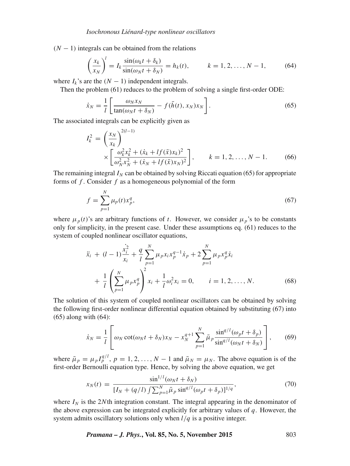$(N - 1)$  integrals can be obtained from the relations

$$
\left(\frac{x_k}{x_N}\right)^l = I_k \frac{\sin(\omega_k t + \delta_k)}{\sin(\omega_N t + \delta_N)} = h_k(t), \qquad k = 1, 2, \dots, N-1,
$$
\n(64)

where  $I_k$ 's are the  $(N - 1)$  independent integrals.

Then the problem (61) reduces to the problem of solving a single first-order ODE:

$$
\dot{x}_N = \frac{1}{l} \left[ \frac{\omega_N x_N}{\tan(\omega_N t + \delta_N)} - f(\bar{h}(t), x_N) x_N \right].
$$
\n(65)

The associated integrals can be explicitly given as

$$
I_{k}^{2} = \left(\frac{x_{N}}{x_{k}}\right)^{2(l-1)} \times \left[\frac{\omega_{k}^{2}x_{k}^{2} + (\dot{x}_{k} + lf(\bar{x})x_{k})^{2}}{\omega_{N}^{2}x_{N}^{2} + (\dot{x}_{N} + lf(\bar{x})x_{N})^{2}}\right], \qquad k = 1, 2, ..., N - 1.
$$
 (66)

The remaining integral  $I_N$  can be obtained by solving Riccati equation (65) for appropriate forms of  $f$ . Consider  $f$  as a homogeneous polynomial of the form

$$
f = \sum_{p=1}^{N} \mu_p(t) x_p^q,
$$
\n(67)

where  $\mu_p(t)$ 's are arbitrary functions of t. However, we consider  $\mu_p$ 's to be constants only for simplicity, in the present case. Under these assumptions eq. (61) reduces to the system of coupled nonlinear oscillator equations,

$$
\ddot{x}_i + (l-1)\frac{\dot{x}_i^2}{x_i} + \frac{q}{l} \sum_{p=1}^N \mu_p x_i x_p^{q-1} \dot{x}_p + 2 \sum_{p=1}^N \mu_p x_p^q \dot{x}_i
$$
  
+ 
$$
\frac{1}{l} \left( \sum_{p=1}^N \mu_p x_p^q \right)^2 x_i + \frac{1}{l} \omega_i^2 x_i = 0, \qquad i = 1, 2, ..., N.
$$
 (68)

The solution of this system of coupled nonlinear oscillators can be obtained by solving the following first-order nonlinear differential equation obtained by substituting (67) into (65) along with (64):

$$
\dot{x}_N = \frac{1}{l} \left[ \omega_N \cot(\omega_N t + \delta_N) x_N - x_N^{q+1} \sum_{p=1}^N \bar{\mu}_p \frac{\sin^{q/l}(\omega_p t + \delta_p)}{\sin^{q/l}(\omega_N t + \delta_N)} \right],\qquad(69)
$$

where  $\bar{\mu}_p = \mu_p I_p^{q/l}$ ,  $p = 1, 2, ..., N - 1$  and  $\bar{\mu}_N = \mu_N$ . The above equation is of the first-order Bernoulli equation type. Hence, by solving the above equation, we get

$$
x_N(t) = \frac{\sin^{1/l}(\omega_N t + \delta_N)}{[I_N + (q/l)\int \sum_{p=1}^N \bar{\mu}_p \sin^{q/l}(\omega_p t + \delta_p)]^{1/q}},\tag{70}
$$

where  $I_N$  is the 2Nth integration constant. The integral appearing in the denominator of the above expression can be integrated explicitly for arbitrary values of  $q$ . However, the system admits oscillatory solutions only when  $l/q$  is a positive integer.

*Pramana – J. Phys.***, Vol. 85, No. 5, November 2015** 803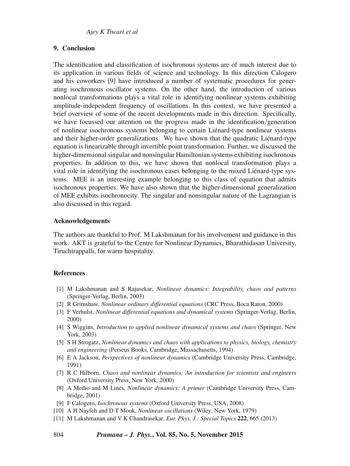# **9. Conclusion**

The identification and classification of isochronous systems are of much interest due to its application in various fields of science and technology. In this direction Calogero and his coworkers [9] have introduced a number of systematic procedures for generating isochronous oscillator systems. On the other hand, the introduction of various nonlocal transformations plays a vital role in identifying nonlinear systems exhibiting amplitude-independent frequency of oscillations. In this context, we have presented a brief overview of some of the recent developments made in this direction. Specifically, we have focussed our attention on the progress made in the identification/generation of nonlinear isochronous systems belonging to certain Liénard-type nonlinear systems and their higher-order generalizations. We have shown that the quadratic Liénard-type equation is linearizable through invertible point transformation. Further, we discussed the higher-dimensional singular and nonsingular Hamiltonian systems exhibiting isochronous properties. In addition to this, we have shown that nonlocal transformation plays a vital role in identifying the isochronous cases belonging to the mixed Liénard-type systems. MEE is an interesting example belonging to this class of equation that admits isochronous properties. We have also shown that the higher-dimensional generalization of MEE exhibits isochronocity. The singular and nonsingular nature of the Lagrangian is also discussed in this regard.

#### **Acknowledgements**

The authors are thankful to Prof. M Lakshmanan for his involvement and guidance in this work. AKT is grateful to the Centre for Nonlinear Dynamics, Bharathidasan University, Tiruchirappalli, for warm hospitality.

#### **References**

- [1] M Lakshmanan and S Rajasekar, *Nonlinear dynamics: Integrability, chaos and patterns* (Springer-Verlag, Berlin, 2003)
- [2] R Grimshaw, *Nonlinear ordinary differential equations* (CRC Press, Boca Raton, 2000)
- [3] F Verhulst, *Nonlinear differential equations and dynamical systems* (Springer-Verlag, Berlin, 2000)
- [4] S Wiggins, *Introduction to applied nonlinear dynamical systems and chaos* (Springer, New York, 2003)
- [5] S H Strogatz, *Nonlinear dynamics and chaos with applications to physics, biology, chemistry and engineering* (Perseus Books, Cambridge, Massachusetts, 1994)
- [6] E A Jackson, *Perspecti*v*es of nonlinear dynamics* (Cambridge University Press, Cambridge, 1991)
- [7] R C Hilborn, *Chaos and nonlinear dynamics: An introduction for scientists and engineers* (Oxford University Press, New York, 2000)
- [8] A Medio and M Lines, *Nonlinear dynamics: A primer* (Cambridge University Press, Cambridge, 2001)
- [9] F Calogero, *Isochronous systems* (Oxford University Press, USA, 2008)
- [10] A H Nayfeh and D T Mook, *Nonlinear oscillations* (Wiley, New York, 1979)
- [11] M Lakshmanan and V K Chandrasekar, *Eur. Phys. J.: Special Topics* **222**, 665 (2013)